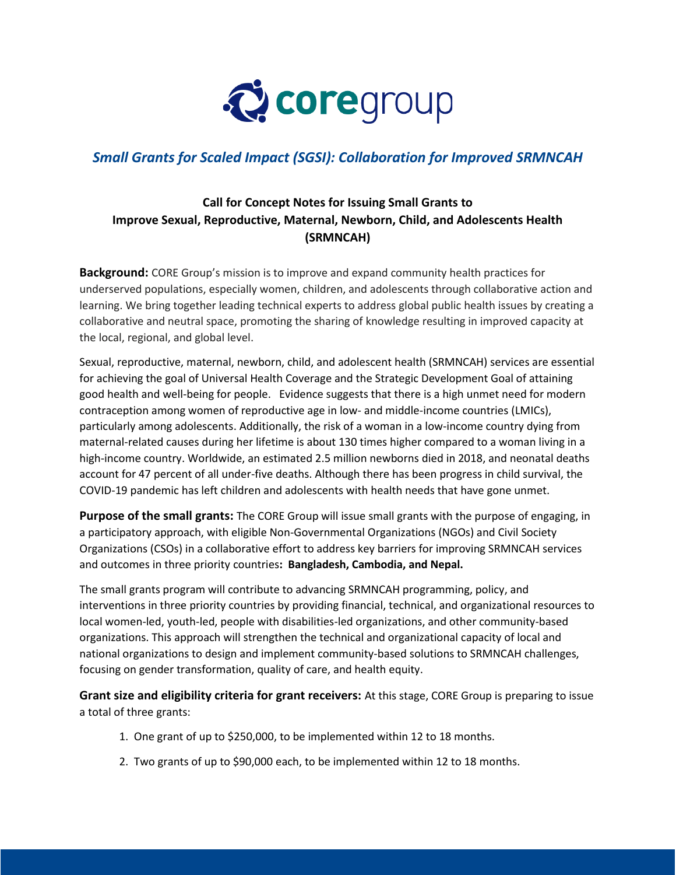

## *Small Grants for Scaled Impact (SGSI): Collaboration for Improved SRMNCAH*

## **Call for Concept Notes for Issuing Small Grants to Improve Sexual, Reproductive, Maternal, Newborn, Child, and Adolescents Health (SRMNCAH)**

**Background:** CORE Group's mission is to improve and expand community health practices for underserved populations, especially women, children, and adolescents through collaborative action and learning. We bring together leading technical experts to address global public health issues by creating a collaborative and neutral space, promoting the sharing of knowledge resulting in improved capacity at the local, regional, and global level.

Sexual, reproductive, maternal, newborn, child, and adolescent health (SRMNCAH) services are essential for achieving the goal of Universal Health Coverage and the Strategic Development Goal of attaining good health and well-being for people. Evidence suggests that there is a high unmet need for modern contraception among women of reproductive age in low- and middle-income countries (LMICs), particularly among adolescents. Additionally, the risk of a woman in a low-income country dying from maternal-related causes during her lifetime is about 130 times higher compared to a woman living in a high-income country. Worldwide, an estimated 2.5 million newborns died in 2018, and neonatal deaths account for 47 percent of all under-five deaths. Although there has been progress in child survival, the COVID-19 pandemic has left children and adolescents with health needs that have gone unmet.

**Purpose of the small grants:** The CORE Group will issue small grants with the purpose of engaging, in a participatory approach, with eligible Non-Governmental Organizations (NGOs) and Civil Society Organizations (CSOs) in a collaborative effort to address key barriers for improving SRMNCAH services and outcomes in three priority countries**: Bangladesh, Cambodia, and Nepal.** 

The small grants program will contribute to advancing SRMNCAH programming, policy, and interventions in three priority countries by providing financial, technical, and organizational resources to local women-led, youth-led, people with disabilities-led organizations, and other community-based organizations. This approach will strengthen the technical and organizational capacity of local and national organizations to design and implement community-based solutions to SRMNCAH challenges, focusing on gender transformation, quality of care, and health equity.

**Grant size and eligibility criteria for grant receivers:** At this stage, CORE Group is preparing to issue a total of three grants:

- 1. One grant of up to \$250,000, to be implemented within 12 to 18 months.
- 2. Two grants of up to \$90,000 each, to be implemented within 12 to 18 months.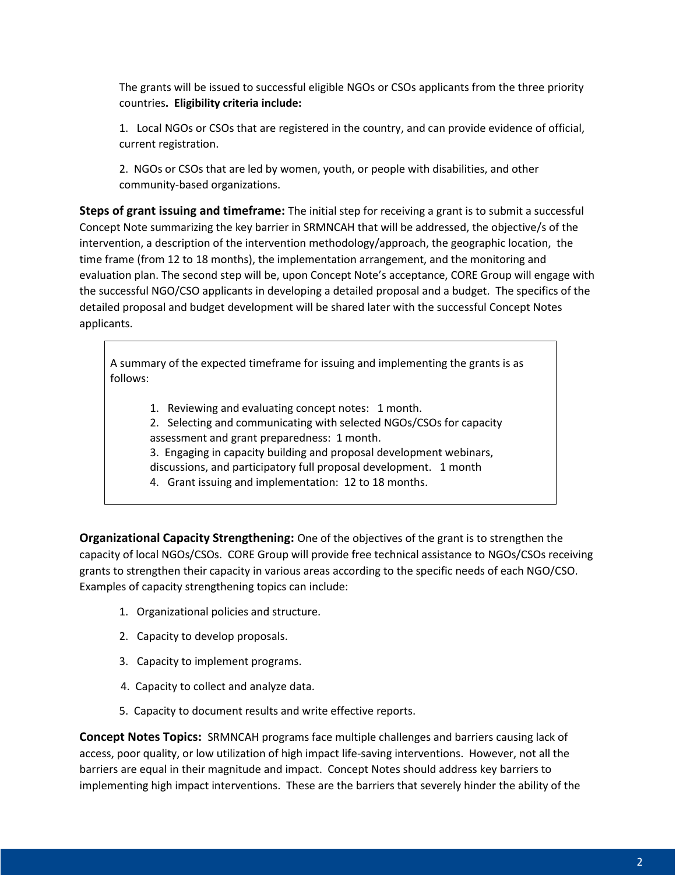The grants will be issued to successful eligible NGOs or CSOs applicants from the three priority countries**. Eligibility criteria include:**

1. Local NGOs or CSOs that are registered in the country, and can provide evidence of official, current registration.

2. NGOs or CSOs that are led by women, youth, or people with disabilities, and other community-based organizations.

**Steps of grant issuing and timeframe:** The initial step for receiving a grant is to submit a successful Concept Note summarizing the key barrier in SRMNCAH that will be addressed, the objective/s of the intervention, a description of the intervention methodology/approach, the geographic location, the time frame (from 12 to 18 months), the implementation arrangement, and the monitoring and evaluation plan. The second step will be, upon Concept Note's acceptance, CORE Group will engage with the successful NGO/CSO applicants in developing a detailed proposal and a budget. The specifics of the detailed proposal and budget development will be shared later with the successful Concept Notes applicants.

A summary of the expected timeframe for issuing and implementing the grants is as follows:

1. Reviewing and evaluating concept notes: 1 month. 2. Selecting and communicating with selected NGOs/CSOs for capacity assessment and grant preparedness: 1 month. 3. Engaging in capacity building and proposal development webinars, discussions, and participatory full proposal development. 1 month 4. Grant issuing and implementation: 12 to 18 months.

**Organizational Capacity Strengthening:** One of the objectives of the grant is to strengthen the capacity of local NGOs/CSOs. CORE Group will provide free technical assistance to NGOs/CSOs receiving grants to strengthen their capacity in various areas according to the specific needs of each NGO/CSO. Examples of capacity strengthening topics can include:

- 1. Organizational policies and structure.
- 2. Capacity to develop proposals.
- 3. Capacity to implement programs.
- 4. Capacity to collect and analyze data.
- 5. Capacity to document results and write effective reports.

**Concept Notes Topics:** SRMNCAH programs face multiple challenges and barriers causing lack of access, poor quality, or low utilization of high impact life-saving interventions. However, not all the barriers are equal in their magnitude and impact. Concept Notes should address key barriers to implementing high impact interventions. These are the barriers that severely hinder the ability of the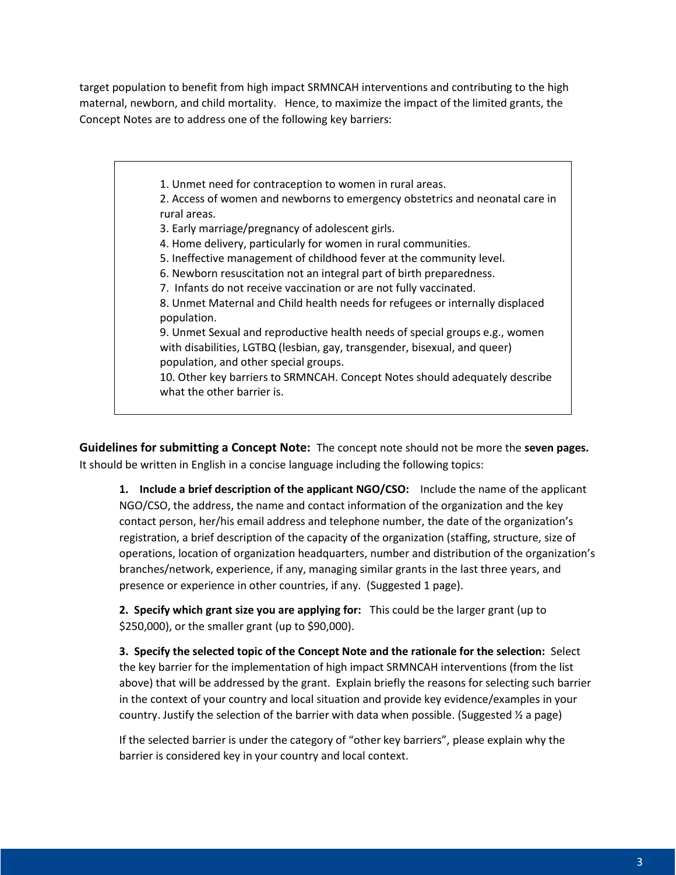target population to benefit from high impact SRMNCAH interventions and contributing to the high maternal, newborn, and child mortality. Hence, to maximize the impact of the limited grants, the Concept Notes are to address one of the following key barriers:

1. Unmet need for contraception to women in rural areas.

2. Access of women and newborns to emergency obstetrics and neonatal care in rural areas.

3. Early marriage/pregnancy of adolescent girls.

4. Home delivery, particularly for women in rural communities.

5. Ineffective management of childhood fever at the community level.

6. Newborn resuscitation not an integral part of birth preparedness.

7. Infants do not receive vaccination or are not fully vaccinated.

8. Unmet Maternal and Child health needs for refugees or internally displaced population.

9. Unmet Sexual and reproductive health needs of special groups e.g., women with disabilities, LGTBQ (lesbian, gay, transgender, bisexual, and queer) population, and other special groups.

10. Other key barriers to SRMNCAH. Concept Notes should adequately describe what the other barrier is.

**Guidelines for submitting a Concept Note:** The concept note should not be more the **seven pages.** It should be written in English in a concise language including the following topics:

**1. Include a brief description of the applicant NGO/CSO:** Include the name of the applicant NGO/CSO, the address, the name and contact information of the organization and the key contact person, her/his email address and telephone number, the date of the organization's registration, a brief description of the capacity of the organization (staffing, structure, size of operations, location of organization headquarters, number and distribution of the organization's branches/network, experience, if any, managing similar grants in the last three years, and presence or experience in other countries, if any. (Suggested 1 page).

**2. Specify which grant size you are applying for:** This could be the larger grant (up to \$250,000), or the smaller grant (up to \$90,000).

**3. Specify the selected topic of the Concept Note and the rationale for the selection:** Select the key barrier for the implementation of high impact SRMNCAH interventions (from the list above) that will be addressed by the grant. Explain briefly the reasons for selecting such barrier in the context of your country and local situation and provide key evidence/examples in your country. Justify the selection of the barrier with data when possible. (Suggested  $\frac{1}{2}$  a page)

If the selected barrier is under the category of "other key barriers", please explain why the barrier is considered key in your country and local context.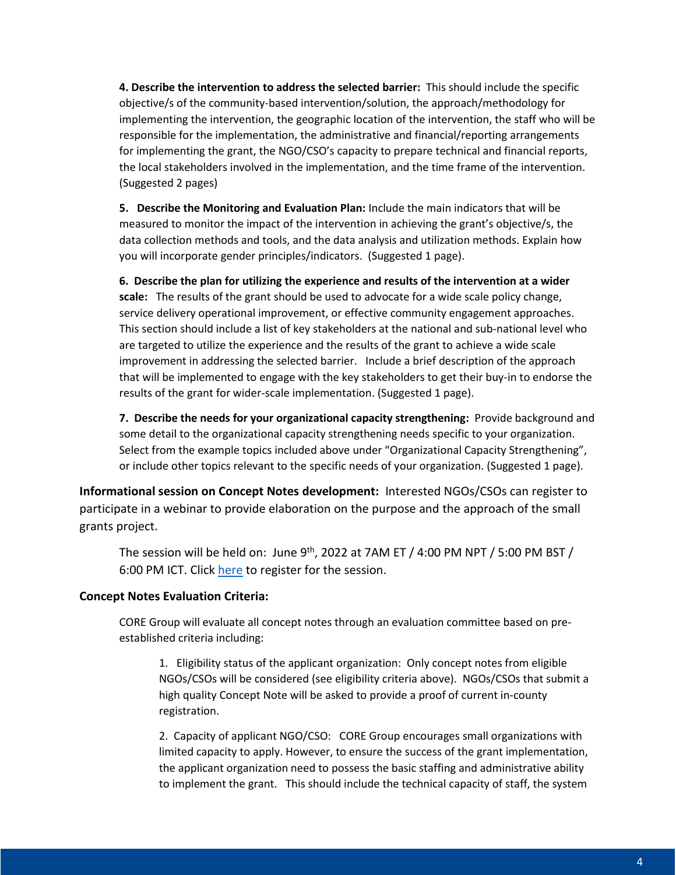**4. Describe the intervention to address the selected barrier:** This should include the specific objective/s of the community-based intervention/solution, the approach/methodology for implementing the intervention, the geographic location of the intervention, the staff who will be responsible for the implementation, the administrative and financial/reporting arrangements for implementing the grant, the NGO/CSO's capacity to prepare technical and financial reports, the local stakeholders involved in the implementation, and the time frame of the intervention. (Suggested 2 pages)

**5. Describe the Monitoring and Evaluation Plan:** Include the main indicators that will be measured to monitor the impact of the intervention in achieving the grant's objective/s, the data collection methods and tools, and the data analysis and utilization methods. Explain how you will incorporate gender principles/indicators. (Suggested 1 page).

**6. Describe the plan for utilizing the experience and results of the intervention at a wider scale:** The results of the grant should be used to advocate for a wide scale policy change, service delivery operational improvement, or effective community engagement approaches. This section should include a list of key stakeholders at the national and sub-national level who are targeted to utilize the experience and the results of the grant to achieve a wide scale improvement in addressing the selected barrier. Include a brief description of the approach that will be implemented to engage with the key stakeholders to get their buy-in to endorse the results of the grant for wider-scale implementation. (Suggested 1 page).

**7. Describe the needs for your organizational capacity strengthening:** Provide background and some detail to the organizational capacity strengthening needs specific to your organization. Select from the example topics included above under "Organizational Capacity Strengthening", or include other topics relevant to the specific needs of your organization. (Suggested 1 page).

**Informational session on Concept Notes development:** Interested NGOs/CSOs can register to participate in a webinar to provide elaboration on the purpose and the approach of the small grants project.

The session will be held on: June  $9<sup>th</sup>$ , 2022 at 7AM ET / 4:00 PM NPT / 5:00 PM BST / 6:00 PM ICT. Click [here](https://us02web.zoom.us/meeting/register/tZMkdOmsrD0tH9fMXCTfEqyCfdhEv6ZNYpNN) to register for the session.

## **Concept Notes Evaluation Criteria:**

CORE Group will evaluate all concept notes through an evaluation committee based on preestablished criteria including:

1. Eligibility status of the applicant organization: Only concept notes from eligible NGOs/CSOs will be considered (see eligibility criteria above). NGOs/CSOs that submit a high quality Concept Note will be asked to provide a proof of current in-county registration.

2. Capacity of applicant NGO/CSO: CORE Group encourages small organizations with limited capacity to apply. However, to ensure the success of the grant implementation, the applicant organization need to possess the basic staffing and administrative ability to implement the grant. This should include the technical capacity of staff, the system